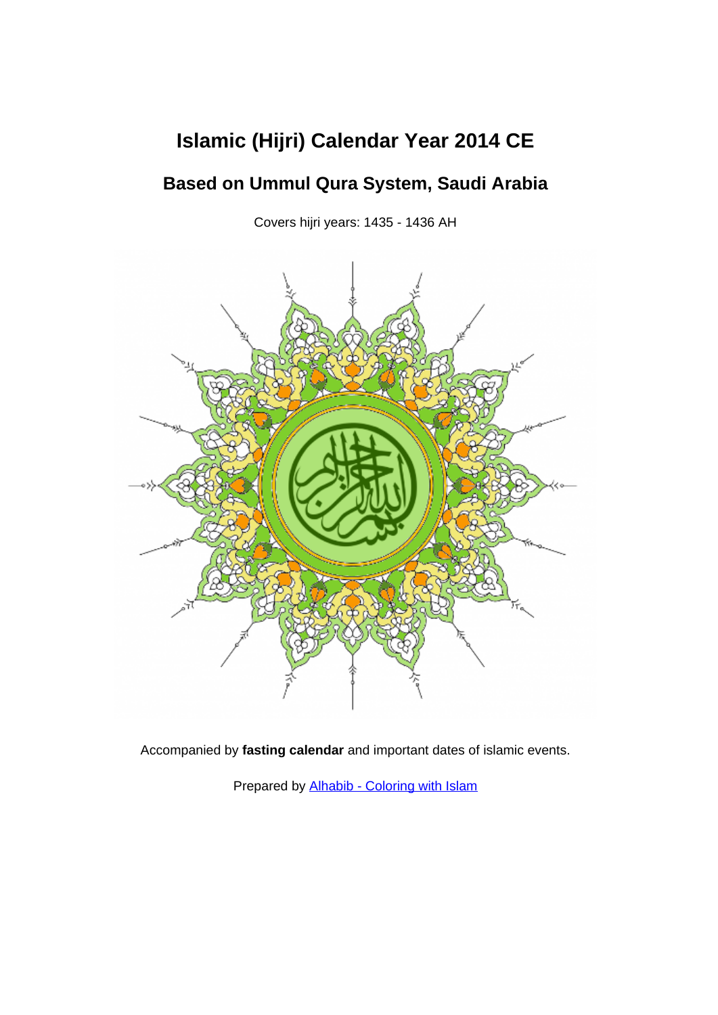## **Islamic (Hijri) Calendar Year 2014 CE**

## **Based on Ummul Qura System, Saudi Arabia**

Covers hijri years: 1435 - 1436 AH



Accompanied by **fasting calendar** and important dates of islamic events.

Prepared by [Alhabib - Coloring with Islam](http://www.al-habib.info/)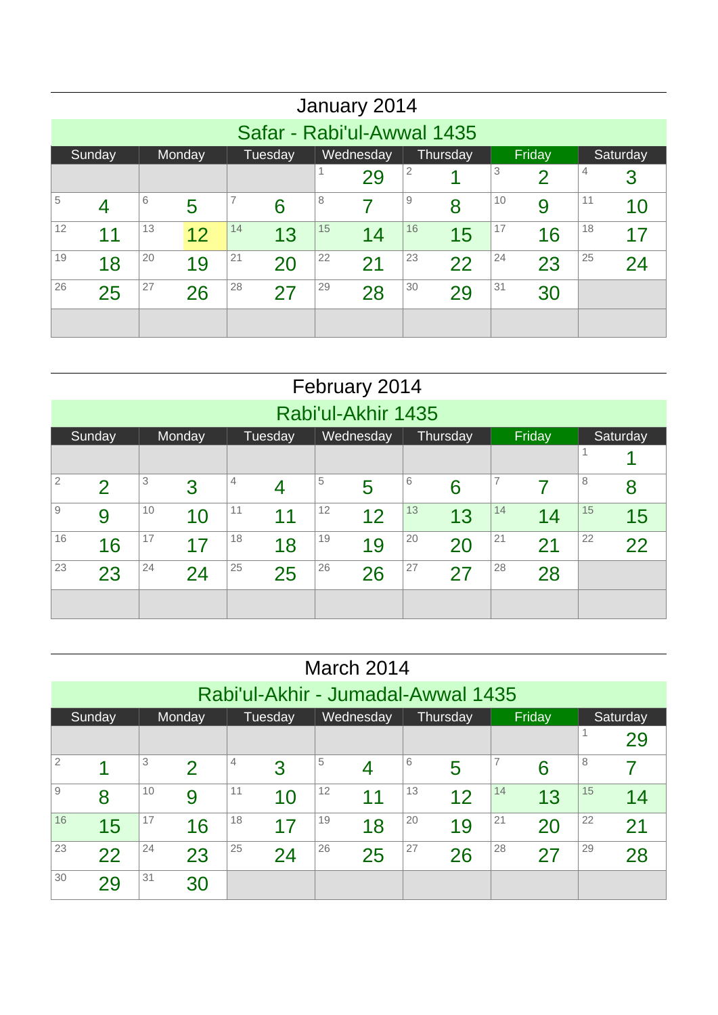|    |                                                                            |    |    |    |    |    | January 2014               |    |    |    |    |    |    |  |  |
|----|----------------------------------------------------------------------------|----|----|----|----|----|----------------------------|----|----|----|----|----|----|--|--|
|    |                                                                            |    |    |    |    |    | Safar - Rabi'ul-Awwal 1435 |    |    |    |    |    |    |  |  |
|    | Wednesday<br>Friday<br>Sunday<br>Tuesday<br>Thursday<br>Monday<br>Saturday |    |    |    |    |    |                            |    |    |    |    |    |    |  |  |
|    | 2<br>3<br>4<br>29<br>4<br>$\overline{2}$<br>3                              |    |    |    |    |    |                            |    |    |    |    |    |    |  |  |
| 5  | 7<br>8<br>9<br>10<br>11<br>6<br>9<br>5<br>8<br>4<br>6<br>7<br>10           |    |    |    |    |    |                            |    |    |    |    |    |    |  |  |
| 12 | 11                                                                         | 13 | 12 | 14 | 13 | 15 | 14                         | 16 | 15 | 17 | 16 | 18 | 17 |  |  |
| 19 | 18                                                                         | 20 | 19 | 21 | 20 | 22 | 21                         | 23 | 22 | 24 | 23 | 25 | 24 |  |  |
| 26 | 25                                                                         | 27 | 26 | 28 | 27 | 29 | 28                         | 30 | 29 | 31 | 30 |    |    |  |  |
|    |                                                                            |    |    |    |    |    |                            |    |    |    |    |    |    |  |  |

|                |                                                                           |    |        |    |         |    | February 2014 |    |          |    |        |    |          |  |  |
|----------------|---------------------------------------------------------------------------|----|--------|----|---------|----|---------------|----|----------|----|--------|----|----------|--|--|
|                | Rabi'ul-Akhir 1435                                                        |    |        |    |         |    |               |    |          |    |        |    |          |  |  |
|                | Sunday                                                                    |    | Monday |    | Tuesday |    | Wednesday     |    | Thursday |    | Friday |    | Saturday |  |  |
|                | 1                                                                         |    |        |    |         |    |               |    |          |    |        |    |          |  |  |
| $\overline{2}$ | 3<br>5<br>6<br>7<br>8<br>4<br>3<br>$\mathcal{P}$<br>5<br>6<br>8<br>7<br>4 |    |        |    |         |    |               |    |          |    |        |    |          |  |  |
| $\hbox{9}$     | 9                                                                         | 10 | 10     | 11 | 11      | 12 | 12            | 13 | 13       | 14 | 14     | 15 | 15       |  |  |
| 16             | 16                                                                        | 17 | 17     | 18 | 18      | 19 | 19            | 20 | 20       | 21 | 21     | 22 | 22       |  |  |
| 23             | 23                                                                        | 24 | 24     | 25 | 25      | 26 | 26            | 27 | 27       | 28 | 28     |    |          |  |  |
|                |                                                                           |    |        |    |         |    |               |    |          |    |        |    |          |  |  |

|                |                                                                                 |    |    |    |    |    | March 2014 |    |    |    |    |    |    |  |  |
|----------------|---------------------------------------------------------------------------------|----|----|----|----|----|------------|----|----|----|----|----|----|--|--|
|                | Rabi'ul-Akhir - Jumadal-Awwal 1435                                              |    |    |    |    |    |            |    |    |    |    |    |    |  |  |
|                | Friday<br>Tuesday<br>Wednesday<br>Sunday<br>Monday<br>Thursday<br>Saturday<br>1 |    |    |    |    |    |            |    |    |    |    |    |    |  |  |
|                | 29<br>5<br>3<br>6<br>8<br>4                                                     |    |    |    |    |    |            |    |    |    |    |    |    |  |  |
| $\overline{2}$ | $\mathcal P$<br>3<br>4<br>5<br>6<br>4                                           |    |    |    |    |    |            |    |    |    |    |    |    |  |  |
| 9              | 8                                                                               | 10 | 9  | 11 | 10 | 12 | 11         | 13 | 12 | 14 | 13 | 15 | 14 |  |  |
| 16             | 15                                                                              | 17 | 16 | 18 | 17 | 19 | 18         | 20 | 19 | 21 | 20 | 22 | 21 |  |  |
| 23             | 22                                                                              | 24 | 23 | 25 | 24 | 26 | 25         | 27 | 26 | 28 | 27 | 29 | 28 |  |  |
| 30             | 29                                                                              | 31 | 30 |    |    |    |            |    |    |    |    |    |    |  |  |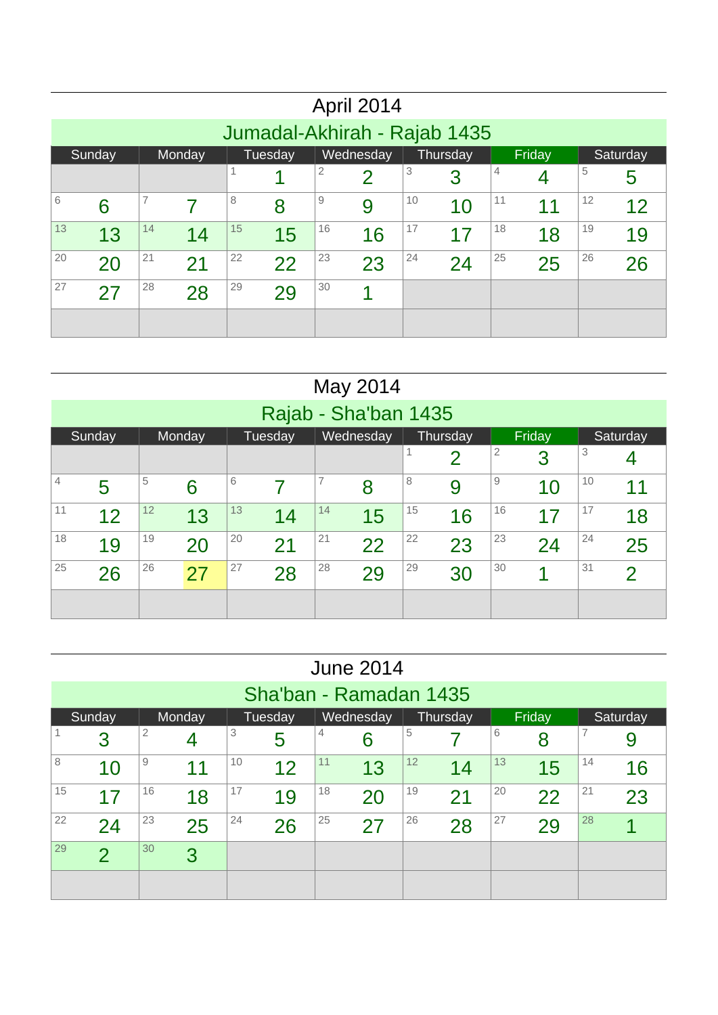|    |                                                                                          |    |    |    |    |    | April 2014 |    |    |    |    |    |    |  |  |
|----|------------------------------------------------------------------------------------------|----|----|----|----|----|------------|----|----|----|----|----|----|--|--|
|    | Jumadal-Akhirah - Rajab 1435                                                             |    |    |    |    |    |            |    |    |    |    |    |    |  |  |
|    | Wednesday<br>Tuesday<br>Thursday<br>Sunday<br>Monday<br>Friday<br>Saturday               |    |    |    |    |    |            |    |    |    |    |    |    |  |  |
|    | 3<br>2<br>5<br>4<br>$\overline{2}$<br>3<br>5                                             |    |    |    |    |    |            |    |    |    |    |    |    |  |  |
| 6  | $\overline{7}$<br>12<br>$\overline{9}$<br>10<br>11<br>8<br>6<br>9<br>10<br>11<br>12<br>8 |    |    |    |    |    |            |    |    |    |    |    |    |  |  |
| 13 | 13                                                                                       | 14 | 14 | 15 | 15 | 16 | 16         | 17 | 17 | 18 | 18 | 19 | 19 |  |  |
| 20 | 20                                                                                       | 21 | 21 | 22 | 22 | 23 | 23         | 24 | 24 | 25 | 25 | 26 | 26 |  |  |
| 27 | 27                                                                                       | 28 | 28 | 29 | 29 | 30 |            |    |    |    |    |    |    |  |  |
|    |                                                                                          |    |    |    |    |    |            |    |    |    |    |    |    |  |  |

|    |                                                                                                    |    |    |    |    |    | May 2014 |    |    |    |    |    |                |  |  |
|----|----------------------------------------------------------------------------------------------------|----|----|----|----|----|----------|----|----|----|----|----|----------------|--|--|
|    | Rajab - Sha'ban 1435<br>Wednesday<br>Tuesday<br>Thursday<br>Friday<br>Sunday<br>Monday<br>Saturday |    |    |    |    |    |          |    |    |    |    |    |                |  |  |
|    |                                                                                                    |    |    |    |    |    |          |    |    |    |    |    |                |  |  |
|    | 3<br>2<br>$\overline{2}$<br>3<br>4<br>7<br>5<br>6<br>8<br>9<br>10                                  |    |    |    |    |    |          |    |    |    |    |    |                |  |  |
| 4  | 5<br>6<br>8<br>11<br>9<br>10                                                                       |    |    |    |    |    |          |    |    |    |    |    |                |  |  |
| 11 | 12                                                                                                 | 12 | 13 | 13 | 14 | 14 | 15       | 15 | 16 | 16 | 17 | 17 | 18             |  |  |
| 18 | 19                                                                                                 | 19 | 20 | 20 | 21 | 21 | 22       | 22 | 23 | 23 | 24 | 24 | 25             |  |  |
| 25 | 26                                                                                                 | 26 | 27 | 27 | 28 | 28 | 29       | 29 | 30 | 30 | и  | 31 | $\overline{2}$ |  |  |
|    |                                                                                                    |    |    |    |    |    |          |    |    |    |    |    |                |  |  |

|    |                                                                                                                                    |    |        |    |                        |    | <b>June 2014</b> |    |          |    |        |    |          |  |  |
|----|------------------------------------------------------------------------------------------------------------------------------------|----|--------|----|------------------------|----|------------------|----|----------|----|--------|----|----------|--|--|
|    |                                                                                                                                    |    |        |    | Sha'ban - Ramadan 1435 |    |                  |    |          |    |        |    |          |  |  |
|    | Sunday                                                                                                                             |    | Monday |    | Tuesday                |    | Wednesday        |    | Thursday |    | Friday |    | Saturday |  |  |
|    | $\overline{7}$<br>$\overline{2}$<br>3<br>5<br>$\overline{4}$<br>6<br>3<br>5<br>6<br>8<br>9<br>4<br>10<br>12<br>13<br>11<br>14<br>9 |    |        |    |                        |    |                  |    |          |    |        |    |          |  |  |
| 8  | 11<br>13<br>12<br>14<br>15<br>16<br>10                                                                                             |    |        |    |                        |    |                  |    |          |    |        |    |          |  |  |
| 15 | 17                                                                                                                                 | 16 | 18     | 17 | 19                     | 18 | 20               | 19 | 21       | 20 | 22     | 21 | 23       |  |  |
| 22 | 24                                                                                                                                 | 23 | 25     | 24 | 26                     | 25 | 27               | 26 | 28       | 27 | 29     | 28 |          |  |  |
| 29 | $\overline{\mathcal{P}}$                                                                                                           | 30 | 3      |    |                        |    |                  |    |          |    |        |    |          |  |  |
|    |                                                                                                                                    |    |        |    |                        |    |                  |    |          |    |        |    |          |  |  |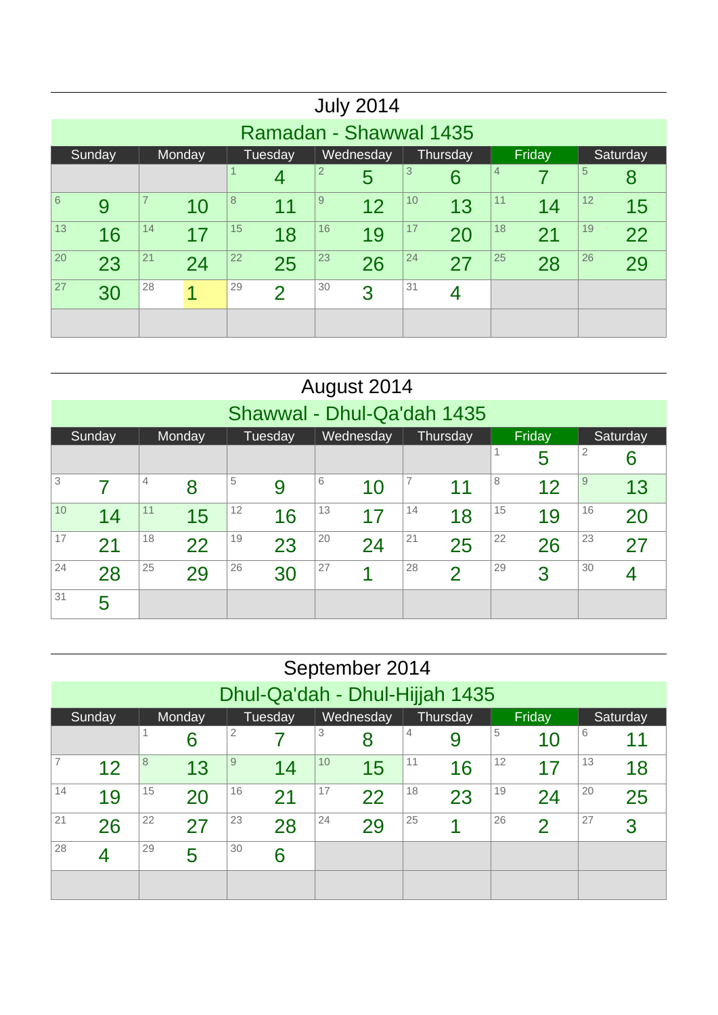|            |                                                                                                  |    |    |    |                          |    | <b>July 2014</b> |    |    |    |    |    |    |  |  |
|------------|--------------------------------------------------------------------------------------------------|----|----|----|--------------------------|----|------------------|----|----|----|----|----|----|--|--|
|            | Ramadan - Shawwal 1435                                                                           |    |    |    |                          |    |                  |    |    |    |    |    |    |  |  |
|            | Wednesday<br>Friday<br>Tuesday<br>Sunday<br>Thursday<br>Saturday<br>Monday                       |    |    |    |                          |    |                  |    |    |    |    |    |    |  |  |
|            | $\overline{2}$<br>3<br>5<br>1<br>4<br>5<br>6<br>4<br>8                                           |    |    |    |                          |    |                  |    |    |    |    |    |    |  |  |
| $\sqrt{6}$ | $\overline{7}$<br>8<br>$\overline{9}$<br>10<br>11<br>12<br>12<br>9<br>13<br>11<br>14<br>15<br>10 |    |    |    |                          |    |                  |    |    |    |    |    |    |  |  |
| 13         | 16                                                                                               | 14 | 17 | 15 | 18                       | 16 | 19               | 17 | 20 | 18 | 21 | 19 | 22 |  |  |
| 20         | 23                                                                                               | 21 | 24 | 22 | 25                       | 23 | 26               | 24 | 27 | 25 | 28 | 26 | 29 |  |  |
| 27         | 30                                                                                               | 28 | 1  | 29 | $\overline{\mathcal{P}}$ | 30 | 3                | 31 | 4  |    |    |    |    |  |  |
|            |                                                                                                  |    |    |    |                          |    |                  |    |    |    |    |    |    |  |  |

|    |                                                                            |    |    |    |    |    | August 2014 |    |                |    |    |    |    |  |  |
|----|----------------------------------------------------------------------------|----|----|----|----|----|-------------|----|----------------|----|----|----|----|--|--|
|    | Shawwal - Dhul-Qa'dah 1435                                                 |    |    |    |    |    |             |    |                |    |    |    |    |  |  |
|    | Wednesday<br>Tuesday<br>Thursday<br>Friday<br>Sunday<br>Monday<br>Saturday |    |    |    |    |    |             |    |                |    |    |    |    |  |  |
|    | 2<br>5<br>6<br>5<br>6<br>7<br>8<br>$\overline{9}$<br>$\overline{4}$        |    |    |    |    |    |             |    |                |    |    |    |    |  |  |
| 3  | 8<br>12<br>9<br>11<br>13<br>7<br>10                                        |    |    |    |    |    |             |    |                |    |    |    |    |  |  |
| 10 | 14                                                                         | 11 | 15 | 12 | 16 | 13 | 17          | 14 | 18             | 15 | 19 | 16 | 20 |  |  |
| 17 | 21                                                                         | 18 | 22 | 19 | 23 | 20 | 24          | 21 | 25             | 22 | 26 | 23 | 27 |  |  |
| 24 | 28                                                                         | 25 | 29 | 26 | 30 | 27 | 4           | 28 | $\overline{2}$ | 29 | 3  | 30 | 4  |  |  |
| 31 | 5                                                                          |    |    |    |    |    |             |    |                |    |    |    |    |  |  |

|    |                                                                                                      |    |    |    |    |    | September 2014 |    |    |    |              |    |    |  |  |
|----|------------------------------------------------------------------------------------------------------|----|----|----|----|----|----------------|----|----|----|--------------|----|----|--|--|
|    | Dhul-Qa'dah - Dhul-Hijjah 1435                                                                       |    |    |    |    |    |                |    |    |    |              |    |    |  |  |
|    | Wednesday<br>Tuesday<br>Thursday<br>Friday<br>Sunday<br>Monday<br>Saturday                           |    |    |    |    |    |                |    |    |    |              |    |    |  |  |
|    | 2<br>3<br>5<br>4<br>6<br>1<br>8<br>6<br>11<br>9<br>10<br>$\overline{9}$<br>10<br>12<br>8<br>11<br>13 |    |    |    |    |    |                |    |    |    |              |    |    |  |  |
|    | 12<br>13<br>15<br>16<br>14<br>17<br>18                                                               |    |    |    |    |    |                |    |    |    |              |    |    |  |  |
| 14 | 19                                                                                                   | 15 | 20 | 16 | 21 | 17 | 22             | 18 | 23 | 19 | 24           | 20 | 25 |  |  |
| 21 | 26                                                                                                   | 22 | 27 | 23 | 28 | 24 | 29             | 25 | 4  | 26 | $\mathcal P$ | 27 | 3  |  |  |
| 28 | 4                                                                                                    | 29 | 5  | 30 | 6  |    |                |    |    |    |              |    |    |  |  |
|    |                                                                                                      |    |    |    |    |    |                |    |    |    |              |    |    |  |  |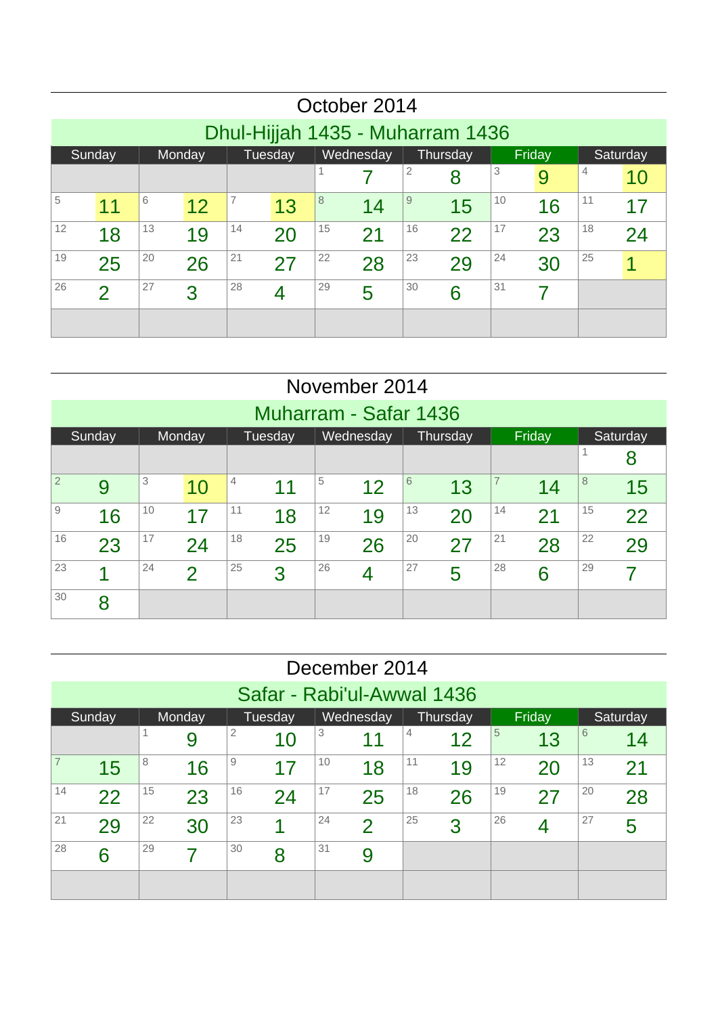|    |                                                                            |    |    |    |    |    | October 2014 |    |    |    |    |    |    |  |  |
|----|----------------------------------------------------------------------------|----|----|----|----|----|--------------|----|----|----|----|----|----|--|--|
|    | Dhul-Hijjah 1435 - Muharram 1436                                           |    |    |    |    |    |              |    |    |    |    |    |    |  |  |
|    | Wednesday<br>Tuesday<br>Thursday<br>Sunday<br>Monday<br>Friday<br>Saturday |    |    |    |    |    |              |    |    |    |    |    |    |  |  |
|    | 2<br>3<br>$\overline{4}$<br>8<br>9<br>10                                   |    |    |    |    |    |              |    |    |    |    |    |    |  |  |
| 5  | 6<br>7<br>8<br>10<br>11<br>9<br>12<br>15<br>11<br>13<br>14<br>16<br>17     |    |    |    |    |    |              |    |    |    |    |    |    |  |  |
| 12 | 18                                                                         | 13 | 19 | 14 | 20 | 15 | 21           | 16 | 22 | 17 | 23 | 18 | 24 |  |  |
| 19 | 25                                                                         | 20 | 26 | 21 | 27 | 22 | 28           | 23 | 29 | 24 | 30 | 25 |    |  |  |
| 26 | $\overline{2}$                                                             | 27 | 3  | 28 | 4  | 29 | 5            | 30 | 6  | 31 |    |    |    |  |  |
|    |                                                                            |    |    |    |    |    |              |    |    |    |    |    |    |  |  |

|                |                                                                                           |    |                          |    |    |    | November 2014  |    |    |    |        |    |    |  |  |
|----------------|-------------------------------------------------------------------------------------------|----|--------------------------|----|----|----|----------------|----|----|----|--------|----|----|--|--|
|                | Muharram - Safar 1436<br>Wednesday<br>Sunday<br>Tuesday<br>Thursday<br>Monday<br>Saturday |    |                          |    |    |    |                |    |    |    |        |    |    |  |  |
|                |                                                                                           |    |                          |    |    |    |                |    |    |    | Friday |    |    |  |  |
|                | 8<br>3<br>$\overline{7}$<br>$\overline{4}$<br>5<br>8<br>6                                 |    |                          |    |    |    |                |    |    |    |        |    |    |  |  |
| $\overline{2}$ | 9<br>12<br>13<br>11<br>10<br>15<br>14                                                     |    |                          |    |    |    |                |    |    |    |        |    |    |  |  |
| 9              | 16                                                                                        | 10 | 17                       | 11 | 18 | 12 | 19             | 13 | 20 | 14 | 21     | 15 | 22 |  |  |
| 16             | 23                                                                                        | 17 | 24                       | 18 | 25 | 19 | 26             | 20 | 27 | 21 | 28     | 22 | 29 |  |  |
| 23             | 1                                                                                         | 24 | $\overline{\mathcal{L}}$ | 25 | 3  | 26 | $\overline{4}$ | 27 | 5  | 28 | 6      | 29 |    |  |  |
| 30             | 8                                                                                         |    |                          |    |    |    |                |    |    |    |        |    |    |  |  |

|    |                                                                                                                           |    |        |    |                            |    | December 2014 |    |          |    |        |    |          |  |  |
|----|---------------------------------------------------------------------------------------------------------------------------|----|--------|----|----------------------------|----|---------------|----|----------|----|--------|----|----------|--|--|
|    |                                                                                                                           |    |        |    | Safar - Rabi'ul-Awwal 1436 |    |               |    |          |    |        |    |          |  |  |
|    | Sunday                                                                                                                    |    | Monday |    | Tuesday                    |    | Wednesday     |    | Thursday |    | Friday |    | Saturday |  |  |
|    | 3<br>2<br>6<br>5<br>$\overline{4}$<br>12<br>13<br>14<br>$\blacktriangleleft$<br>9<br>10<br>11<br>12<br>13<br>9<br>10<br>8 |    |        |    |                            |    |               |    |          |    |        |    |          |  |  |
| 7  | 16<br>18<br>19<br>17<br>15<br>20<br>21                                                                                    |    |        |    |                            |    |               |    |          |    |        |    |          |  |  |
| 14 | 22                                                                                                                        | 15 | 23     | 16 | 24                         | 17 | 25            | 18 | 26       | 19 | 27     | 20 | 28       |  |  |
| 21 | 29                                                                                                                        | 22 | 30     | 23 |                            | 24 | $\mathcal P$  | 25 | 3        | 26 | 4      | 27 | 5        |  |  |
| 28 | 6                                                                                                                         | 29 | 7      | 30 | 8                          | 31 | 9             |    |          |    |        |    |          |  |  |
|    |                                                                                                                           |    |        |    |                            |    |               |    |          |    |        |    |          |  |  |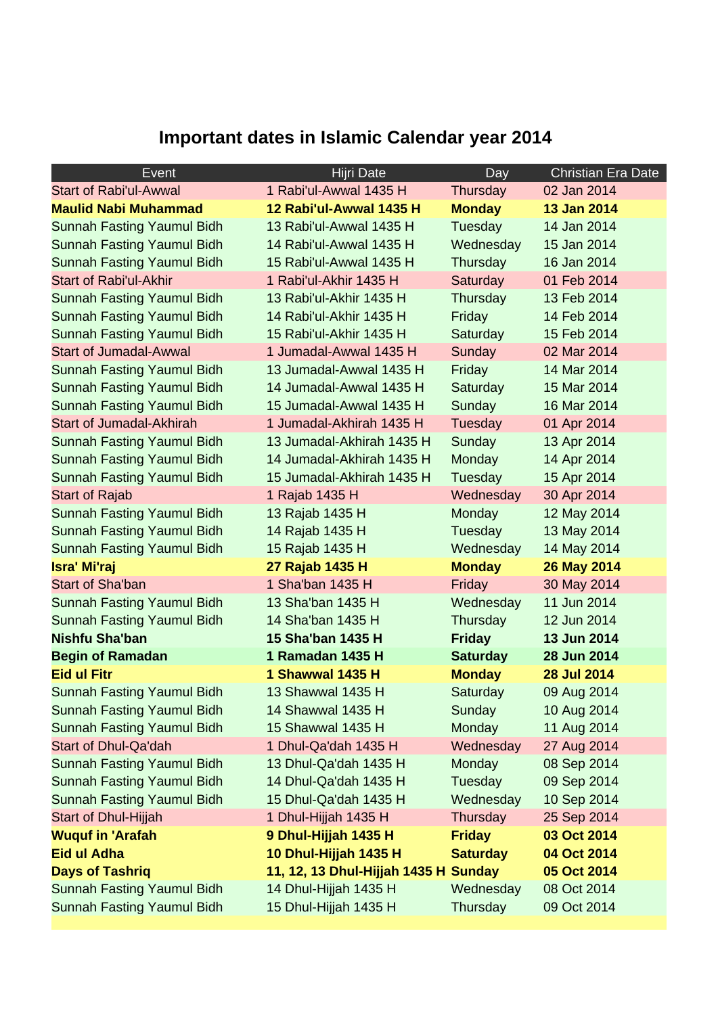## **Important dates in Islamic Calendar year 2014**

| Event                             | Hijri Date                           | Day             | <b>Christian Era Date</b> |
|-----------------------------------|--------------------------------------|-----------------|---------------------------|
| <b>Start of Rabi'ul-Awwal</b>     | 1 Rabi'ul-Awwal 1435 H               | Thursday        | 02 Jan 2014               |
| <b>Maulid Nabi Muhammad</b>       | 12 Rabi'ul-Awwal 1435 H              | <b>Monday</b>   | 13 Jan 2014               |
| <b>Sunnah Fasting Yaumul Bidh</b> | 13 Rabi'ul-Awwal 1435 H              | Tuesday         | 14 Jan 2014               |
| <b>Sunnah Fasting Yaumul Bidh</b> | 14 Rabi'ul-Awwal 1435 H              | Wednesday       | 15 Jan 2014               |
| <b>Sunnah Fasting Yaumul Bidh</b> | 15 Rabi'ul-Awwal 1435 H              | Thursday        | 16 Jan 2014               |
| <b>Start of Rabi'ul-Akhir</b>     | 1 Rabi'ul-Akhir 1435 H               | Saturday        | 01 Feb 2014               |
| Sunnah Fasting Yaumul Bidh        | 13 Rabi'ul-Akhir 1435 H              | Thursday        | 13 Feb 2014               |
| <b>Sunnah Fasting Yaumul Bidh</b> | 14 Rabi'ul-Akhir 1435 H              | Friday          | 14 Feb 2014               |
| <b>Sunnah Fasting Yaumul Bidh</b> | 15 Rabi'ul-Akhir 1435 H              | Saturday        | 15 Feb 2014               |
| <b>Start of Jumadal-Awwal</b>     | 1 Jumadal-Awwal 1435 H               | Sunday          | 02 Mar 2014               |
| Sunnah Fasting Yaumul Bidh        | 13 Jumadal-Awwal 1435 H              | Friday          | 14 Mar 2014               |
| <b>Sunnah Fasting Yaumul Bidh</b> | 14 Jumadal-Awwal 1435 H              | Saturday        | 15 Mar 2014               |
| <b>Sunnah Fasting Yaumul Bidh</b> | 15 Jumadal-Awwal 1435 H              | Sunday          | 16 Mar 2014               |
| <b>Start of Jumadal-Akhirah</b>   | 1 Jumadal-Akhirah 1435 H             | Tuesday         | 01 Apr 2014               |
| <b>Sunnah Fasting Yaumul Bidh</b> | 13 Jumadal-Akhirah 1435 H            | Sunday          | 13 Apr 2014               |
| <b>Sunnah Fasting Yaumul Bidh</b> | 14 Jumadal-Akhirah 1435 H            | <b>Monday</b>   | 14 Apr 2014               |
| <b>Sunnah Fasting Yaumul Bidh</b> | 15 Jumadal-Akhirah 1435 H            | Tuesday         | 15 Apr 2014               |
| <b>Start of Rajab</b>             | 1 Rajab 1435 H                       | Wednesday       | 30 Apr 2014               |
| <b>Sunnah Fasting Yaumul Bidh</b> | 13 Rajab 1435 H                      | Monday          | 12 May 2014               |
| <b>Sunnah Fasting Yaumul Bidh</b> | 14 Rajab 1435 H                      | Tuesday         | 13 May 2014               |
| <b>Sunnah Fasting Yaumul Bidh</b> | 15 Rajab 1435 H                      | Wednesday       | 14 May 2014               |
| Isra' Mi'raj                      | 27 Rajab 1435 H                      | <b>Monday</b>   | 26 May 2014               |
| <b>Start of Sha'ban</b>           | 1 Sha'ban 1435 H                     | Friday          | 30 May 2014               |
| <b>Sunnah Fasting Yaumul Bidh</b> | 13 Sha'ban 1435 H                    | Wednesday       | 11 Jun 2014               |
| <b>Sunnah Fasting Yaumul Bidh</b> | 14 Sha'ban 1435 H                    | Thursday        | 12 Jun 2014               |
| <b>Nishfu Sha'ban</b>             | 15 Sha'ban 1435 H                    | <b>Friday</b>   | 13 Jun 2014               |
| <b>Begin of Ramadan</b>           | 1 Ramadan 1435 H                     | <b>Saturday</b> | 28 Jun 2014               |
| <b>Eid ul Fitr</b>                | 1 Shawwal 1435 H                     | <b>Monday</b>   | <b>28 Jul 2014</b>        |
| <b>Sunnah Fasting Yaumul Bidh</b> | 13 Shawwal 1435 H                    | Saturday        | 09 Aug 2014               |
| Sunnah Fasting Yaumul Bidh        | 14 Shawwal 1435 H                    | Sunday          | 10 Aug 2014               |
| <b>Sunnah Fasting Yaumul Bidh</b> | 15 Shawwal 1435 H                    | Monday          | 11 Aug 2014               |
| <b>Start of Dhul-Qa'dah</b>       | 1 Dhul-Qa'dah 1435 H                 | Wednesday       | 27 Aug 2014               |
| <b>Sunnah Fasting Yaumul Bidh</b> | 13 Dhul-Qa'dah 1435 H                | <b>Monday</b>   | 08 Sep 2014               |
| <b>Sunnah Fasting Yaumul Bidh</b> | 14 Dhul-Qa'dah 1435 H                | Tuesday         | 09 Sep 2014               |
| <b>Sunnah Fasting Yaumul Bidh</b> | 15 Dhul-Qa'dah 1435 H                | Wednesday       | 10 Sep 2014               |
| <b>Start of Dhul-Hijjah</b>       | 1 Dhul-Hijjah 1435 H                 | Thursday        | 25 Sep 2014               |
| <b>Wuquf in 'Arafah</b>           | 9 Dhul-Hijjah 1435 H                 | <b>Friday</b>   | 03 Oct 2014               |
| <b>Eid ul Adha</b>                | 10 Dhul-Hijjah 1435 H                | <b>Saturday</b> | 04 Oct 2014               |
| <b>Days of Tashriq</b>            | 11, 12, 13 Dhul-Hijjah 1435 H Sunday |                 | 05 Oct 2014               |
| <b>Sunnah Fasting Yaumul Bidh</b> | 14 Dhul-Hijjah 1435 H                | Wednesday       | 08 Oct 2014               |
| <b>Sunnah Fasting Yaumul Bidh</b> | 15 Dhul-Hijjah 1435 H                | Thursday        | 09 Oct 2014               |